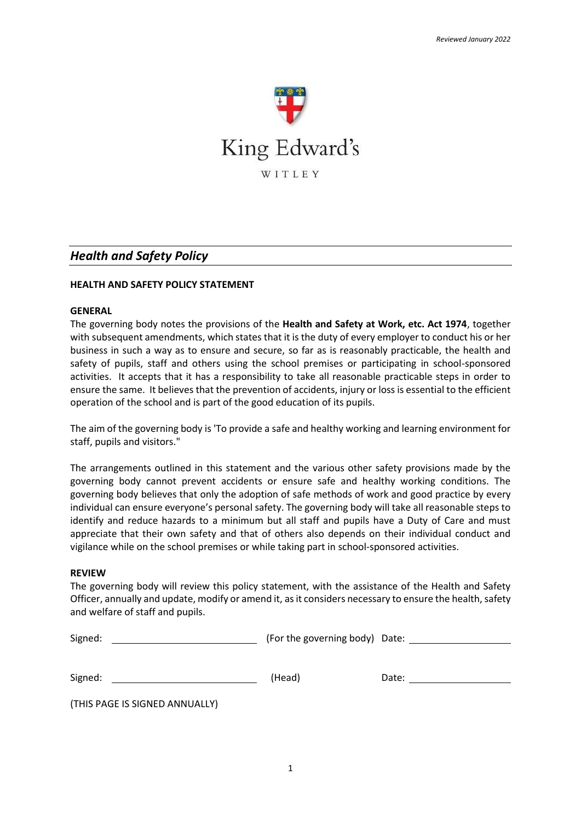

# *Health and Safety Policy*

### **HEALTH AND SAFETY POLICY STATEMENT**

#### **GENERAL**

The governing body notes the provisions of the **Health and Safety at Work, etc. Act 1974**, together with subsequent amendments, which states that it is the duty of every employer to conduct his or her business in such a way as to ensure and secure, so far as is reasonably practicable, the health and safety of pupils, staff and others using the school premises or participating in school-sponsored activities. It accepts that it has a responsibility to take all reasonable practicable steps in order to ensure the same. It believes that the prevention of accidents, injury or loss is essential to the efficient operation of the school and is part of the good education of its pupils.

The aim of the governing body is 'To provide a safe and healthy working and learning environment for staff, pupils and visitors."

The arrangements outlined in this statement and the various other safety provisions made by the governing body cannot prevent accidents or ensure safe and healthy working conditions. The governing body believes that only the adoption of safe methods of work and good practice by every individual can ensure everyone's personal safety. The governing body will take all reasonable steps to identify and reduce hazards to a minimum but all staff and pupils have a Duty of Care and must appreciate that their own safety and that of others also depends on their individual conduct and vigilance while on the school premises or while taking part in school-sponsored activities.

#### **REVIEW**

The governing body will review this policy statement, with the assistance of the Health and Safety Officer, annually and update, modify or amend it, as it considers necessary to ensure the health, safety and welfare of staff and pupils.

| Signed:                        | (For the governing body) Date: |       |
|--------------------------------|--------------------------------|-------|
|                                |                                |       |
| Signed:                        | (Head)                         | Date: |
| (THIS PAGE IS SIGNED ANNUALLY) |                                |       |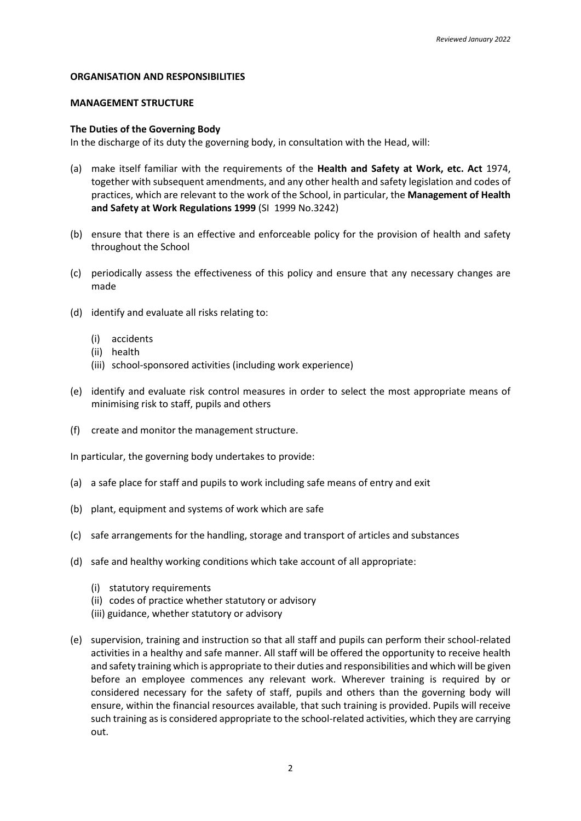#### **ORGANISATION AND RESPONSIBILITIES**

### **MANAGEMENT STRUCTURE**

### **The Duties of the Governing Body**

In the discharge of its duty the governing body, in consultation with the Head, will:

- (a) make itself familiar with the requirements of the **Health and Safety at Work, etc. Act** 1974, together with subsequent amendments, and any other health and safety legislation and codes of practices, which are relevant to the work of the School, in particular, the **Management of Health and Safety at Work Regulations 1999** (SI 1999 No.3242)
- (b) ensure that there is an effective and enforceable policy for the provision of health and safety throughout the School
- (c) periodically assess the effectiveness of this policy and ensure that any necessary changes are made
- (d) identify and evaluate all risks relating to:
	- (i) accidents
	- (ii) health
	- (iii) school-sponsored activities (including work experience)
- (e) identify and evaluate risk control measures in order to select the most appropriate means of minimising risk to staff, pupils and others
- (f) create and monitor the management structure.

In particular, the governing body undertakes to provide:

- (a) a safe place for staff and pupils to work including safe means of entry and exit
- (b) plant, equipment and systems of work which are safe
- (c) safe arrangements for the handling, storage and transport of articles and substances
- (d) safe and healthy working conditions which take account of all appropriate:
	- (i) statutory requirements
	- (ii) codes of practice whether statutory or advisory
	- (iii) guidance, whether statutory or advisory
- (e) supervision, training and instruction so that all staff and pupils can perform their school-related activities in a healthy and safe manner. All staff will be offered the opportunity to receive health and safety training which is appropriate to their duties and responsibilities and which will be given before an employee commences any relevant work. Wherever training is required by or considered necessary for the safety of staff, pupils and others than the governing body will ensure, within the financial resources available, that such training is provided. Pupils will receive such training as is considered appropriate to the school-related activities, which they are carrying out.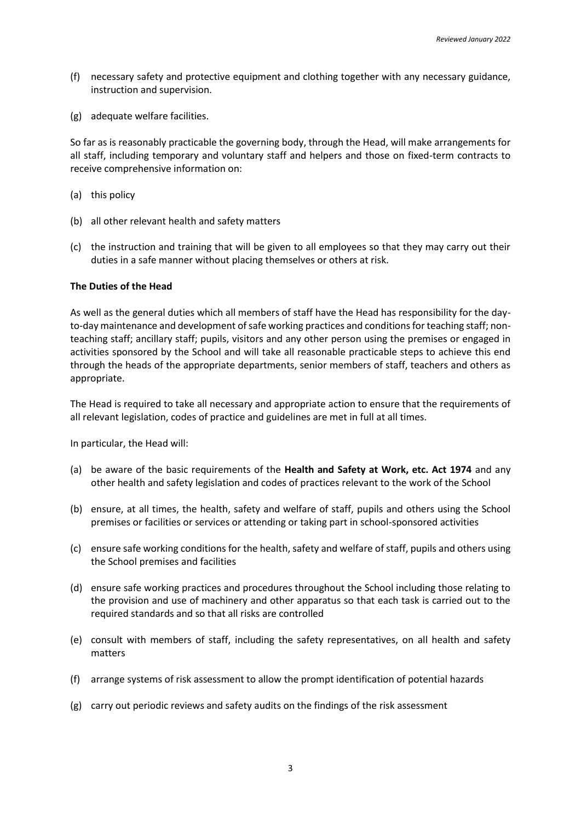- (f) necessary safety and protective equipment and clothing together with any necessary guidance, instruction and supervision.
- (g) adequate welfare facilities.

So far as is reasonably practicable the governing body, through the Head, will make arrangements for all staff, including temporary and voluntary staff and helpers and those on fixed-term contracts to receive comprehensive information on:

- (a) this policy
- (b) all other relevant health and safety matters
- (c) the instruction and training that will be given to all employees so that they may carry out their duties in a safe manner without placing themselves or others at risk.

#### **The Duties of the Head**

As well as the general duties which all members of staff have the Head has responsibility for the dayto-day maintenance and development of safe working practices and conditions for teaching staff; nonteaching staff; ancillary staff; pupils, visitors and any other person using the premises or engaged in activities sponsored by the School and will take all reasonable practicable steps to achieve this end through the heads of the appropriate departments, senior members of staff, teachers and others as appropriate.

The Head is required to take all necessary and appropriate action to ensure that the requirements of all relevant legislation, codes of practice and guidelines are met in full at all times.

In particular, the Head will:

- (a) be aware of the basic requirements of the **Health and Safety at Work, etc. Act 1974** and any other health and safety legislation and codes of practices relevant to the work of the School
- (b) ensure, at all times, the health, safety and welfare of staff, pupils and others using the School premises or facilities or services or attending or taking part in school-sponsored activities
- (c) ensure safe working conditions for the health, safety and welfare of staff, pupils and others using the School premises and facilities
- (d) ensure safe working practices and procedures throughout the School including those relating to the provision and use of machinery and other apparatus so that each task is carried out to the required standards and so that all risks are controlled
- (e) consult with members of staff, including the safety representatives, on all health and safety matters
- (f) arrange systems of risk assessment to allow the prompt identification of potential hazards
- (g) carry out periodic reviews and safety audits on the findings of the risk assessment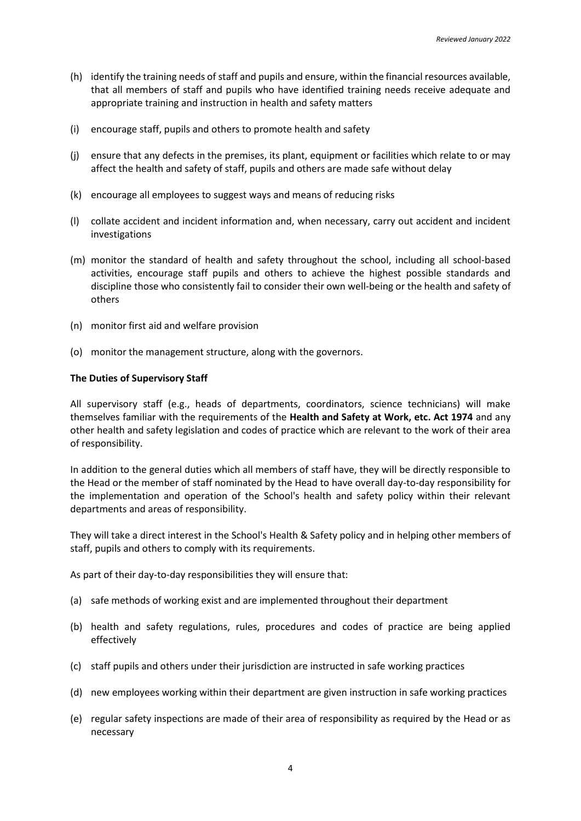- (h) identify the training needs of staff and pupils and ensure, within the financial resources available, that all members of staff and pupils who have identified training needs receive adequate and appropriate training and instruction in health and safety matters
- (i) encourage staff, pupils and others to promote health and safety
- (j) ensure that any defects in the premises, its plant, equipment or facilities which relate to or may affect the health and safety of staff, pupils and others are made safe without delay
- (k) encourage all employees to suggest ways and means of reducing risks
- (l) collate accident and incident information and, when necessary, carry out accident and incident investigations
- (m) monitor the standard of health and safety throughout the school, including all school-based activities, encourage staff pupils and others to achieve the highest possible standards and discipline those who consistently fail to consider their own well-being or the health and safety of others
- (n) monitor first aid and welfare provision
- (o) monitor the management structure, along with the governors.

#### **The Duties of Supervisory Staff**

All supervisory staff (e.g., heads of departments, coordinators, science technicians) will make themselves familiar with the requirements of the **Health and Safety at Work, etc. Act 1974** and any other health and safety legislation and codes of practice which are relevant to the work of their area of responsibility.

In addition to the general duties which all members of staff have, they will be directly responsible to the Head or the member of staff nominated by the Head to have overall day-to-day responsibility for the implementation and operation of the School's health and safety policy within their relevant departments and areas of responsibility.

They will take a direct interest in the School's Health & Safety policy and in helping other members of staff, pupils and others to comply with its requirements.

As part of their day-to-day responsibilities they will ensure that:

- (a) safe methods of working exist and are implemented throughout their department
- (b) health and safety regulations, rules, procedures and codes of practice are being applied effectively
- (c) staff pupils and others under their jurisdiction are instructed in safe working practices
- (d) new employees working within their department are given instruction in safe working practices
- (e) regular safety inspections are made of their area of responsibility as required by the Head or as necessary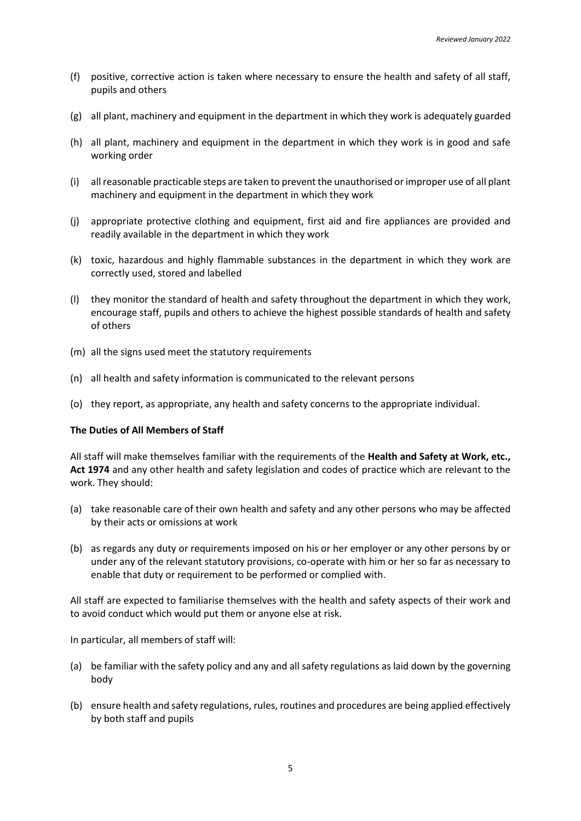- (f) positive, corrective action is taken where necessary to ensure the health and safety of all staff, pupils and others
- (g) all plant, machinery and equipment in the department in which they work is adequately guarded
- (h) all plant, machinery and equipment in the department in which they work is in good and safe working order
- (i) all reasonable practicable steps are taken to prevent the unauthorised or improper use of all plant machinery and equipment in the department in which they work
- (j) appropriate protective clothing and equipment, first aid and fire appliances are provided and readily available in the department in which they work
- (k) toxic, hazardous and highly flammable substances in the department in which they work are correctly used, stored and labelled
- (l) they monitor the standard of health and safety throughout the department in which they work, encourage staff, pupils and others to achieve the highest possible standards of health and safety of others
- (m) all the signs used meet the statutory requirements
- (n) all health and safety information is communicated to the relevant persons
- (o) they report, as appropriate, any health and safety concerns to the appropriate individual.

#### **The Duties of All Members of Staff**

All staff will make themselves familiar with the requirements of the **Health and Safety at Work, etc., Act 1974** and any other health and safety legislation and codes of practice which are relevant to the work. They should:

- (a) take reasonable care of their own health and safety and any other persons who may be affected by their acts or omissions at work
- (b) as regards any duty or requirements imposed on his or her employer or any other persons by or under any of the relevant statutory provisions, co-operate with him or her so far as necessary to enable that duty or requirement to be performed or complied with.

All staff are expected to familiarise themselves with the health and safety aspects of their work and to avoid conduct which would put them or anyone else at risk.

In particular, all members of staff will:

- (a) be familiar with the safety policy and any and all safety regulations as laid down by the governing body
- (b) ensure health and safety regulations, rules, routines and procedures are being applied effectively by both staff and pupils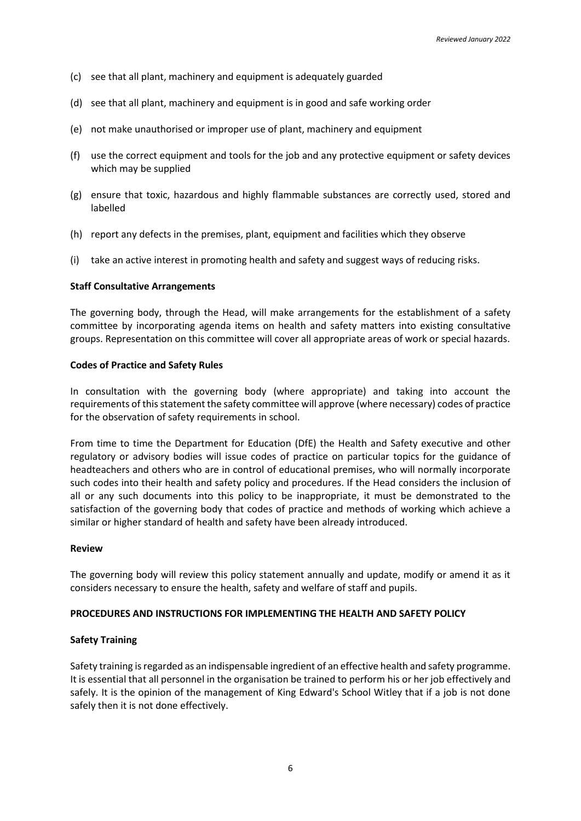- (c) see that all plant, machinery and equipment is adequately guarded
- (d) see that all plant, machinery and equipment is in good and safe working order
- (e) not make unauthorised or improper use of plant, machinery and equipment
- (f) use the correct equipment and tools for the job and any protective equipment or safety devices which may be supplied
- (g) ensure that toxic, hazardous and highly flammable substances are correctly used, stored and labelled
- (h) report any defects in the premises, plant, equipment and facilities which they observe
- (i) take an active interest in promoting health and safety and suggest ways of reducing risks.

### **Staff Consultative Arrangements**

The governing body, through the Head, will make arrangements for the establishment of a safety committee by incorporating agenda items on health and safety matters into existing consultative groups. Representation on this committee will cover all appropriate areas of work or special hazards.

#### **Codes of Practice and Safety Rules**

In consultation with the governing body (where appropriate) and taking into account the requirements of this statement the safety committee will approve (where necessary) codes of practice for the observation of safety requirements in school.

From time to time the Department for Education (DfE) the Health and Safety executive and other regulatory or advisory bodies will issue codes of practice on particular topics for the guidance of headteachers and others who are in control of educational premises, who will normally incorporate such codes into their health and safety policy and procedures. If the Head considers the inclusion of all or any such documents into this policy to be inappropriate, it must be demonstrated to the satisfaction of the governing body that codes of practice and methods of working which achieve a similar or higher standard of health and safety have been already introduced.

#### **Review**

The governing body will review this policy statement annually and update, modify or amend it as it considers necessary to ensure the health, safety and welfare of staff and pupils.

#### **PROCEDURES AND INSTRUCTIONS FOR IMPLEMENTING THE HEALTH AND SAFETY POLICY**

## **Safety Training**

Safety training is regarded as an indispensable ingredient of an effective health and safety programme. It is essential that all personnel in the organisation be trained to perform his or her job effectively and safely. It is the opinion of the management of King Edward's School Witley that if a job is not done safely then it is not done effectively.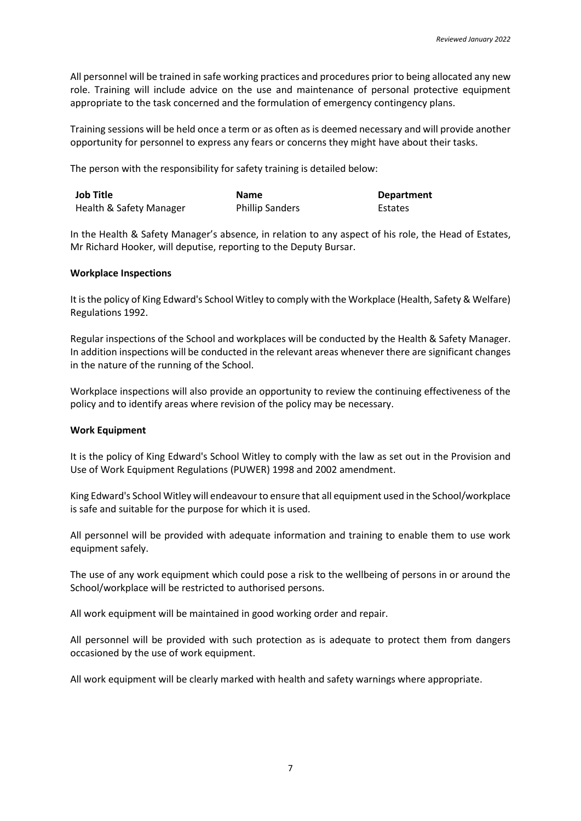All personnel will be trained in safe working practices and procedures prior to being allocated any new role. Training will include advice on the use and maintenance of personal protective equipment appropriate to the task concerned and the formulation of emergency contingency plans.

Training sessions will be held once a term or as often as is deemed necessary and will provide another opportunity for personnel to express any fears or concerns they might have about their tasks.

The person with the responsibility for safety training is detailed below:

| <b>Job Title</b>        | <b>Name</b>            | <b>Department</b> |
|-------------------------|------------------------|-------------------|
| Health & Safety Manager | <b>Phillip Sanders</b> | Estates           |

In the Health & Safety Manager's absence, in relation to any aspect of his role, the Head of Estates, Mr Richard Hooker, will deputise, reporting to the Deputy Bursar.

## **Workplace Inspections**

It is the policy of King Edward's School Witley to comply with the Workplace (Health, Safety & Welfare) Regulations 1992.

Regular inspections of the School and workplaces will be conducted by the Health & Safety Manager. In addition inspections will be conducted in the relevant areas whenever there are significant changes in the nature of the running of the School.

Workplace inspections will also provide an opportunity to review the continuing effectiveness of the policy and to identify areas where revision of the policy may be necessary.

## **Work Equipment**

It is the policy of King Edward's School Witley to comply with the law as set out in the Provision and Use of Work Equipment Regulations (PUWER) 1998 and 2002 amendment.

King Edward's School Witley will endeavour to ensure that all equipment used in the School/workplace is safe and suitable for the purpose for which it is used.

All personnel will be provided with adequate information and training to enable them to use work equipment safely.

The use of any work equipment which could pose a risk to the wellbeing of persons in or around the School/workplace will be restricted to authorised persons.

All work equipment will be maintained in good working order and repair.

All personnel will be provided with such protection as is adequate to protect them from dangers occasioned by the use of work equipment.

All work equipment will be clearly marked with health and safety warnings where appropriate.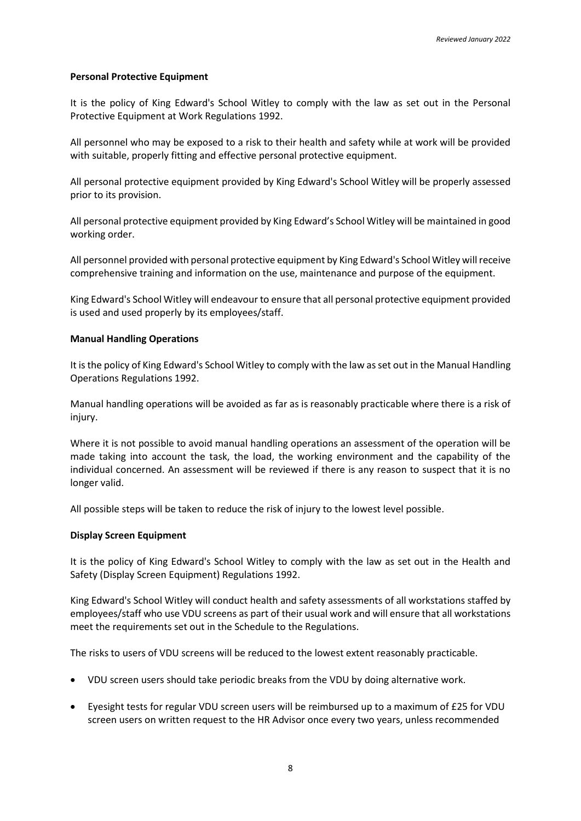## **Personal Protective Equipment**

It is the policy of King Edward's School Witley to comply with the law as set out in the Personal Protective Equipment at Work Regulations 1992.

All personnel who may be exposed to a risk to their health and safety while at work will be provided with suitable, properly fitting and effective personal protective equipment.

All personal protective equipment provided by King Edward's School Witley will be properly assessed prior to its provision.

All personal protective equipment provided by King Edward's School Witley will be maintained in good working order.

All personnel provided with personal protective equipment by King Edward's School Witley will receive comprehensive training and information on the use, maintenance and purpose of the equipment.

King Edward's School Witley will endeavour to ensure that all personal protective equipment provided is used and used properly by its employees/staff.

### **Manual Handling Operations**

It is the policy of King Edward's School Witley to comply with the law as set out in the Manual Handling Operations Regulations 1992.

Manual handling operations will be avoided as far as is reasonably practicable where there is a risk of injury.

Where it is not possible to avoid manual handling operations an assessment of the operation will be made taking into account the task, the load, the working environment and the capability of the individual concerned. An assessment will be reviewed if there is any reason to suspect that it is no longer valid.

All possible steps will be taken to reduce the risk of injury to the lowest level possible.

#### **Display Screen Equipment**

It is the policy of King Edward's School Witley to comply with the law as set out in the Health and Safety (Display Screen Equipment) Regulations 1992.

King Edward's School Witley will conduct health and safety assessments of all workstations staffed by employees/staff who use VDU screens as part of their usual work and will ensure that all workstations meet the requirements set out in the Schedule to the Regulations.

The risks to users of VDU screens will be reduced to the lowest extent reasonably practicable.

- VDU screen users should take periodic breaks from the VDU by doing alternative work.
- Eyesight tests for regular VDU screen users will be reimbursed up to a maximum of £25 for VDU screen users on written request to the HR Advisor once every two years, unless recommended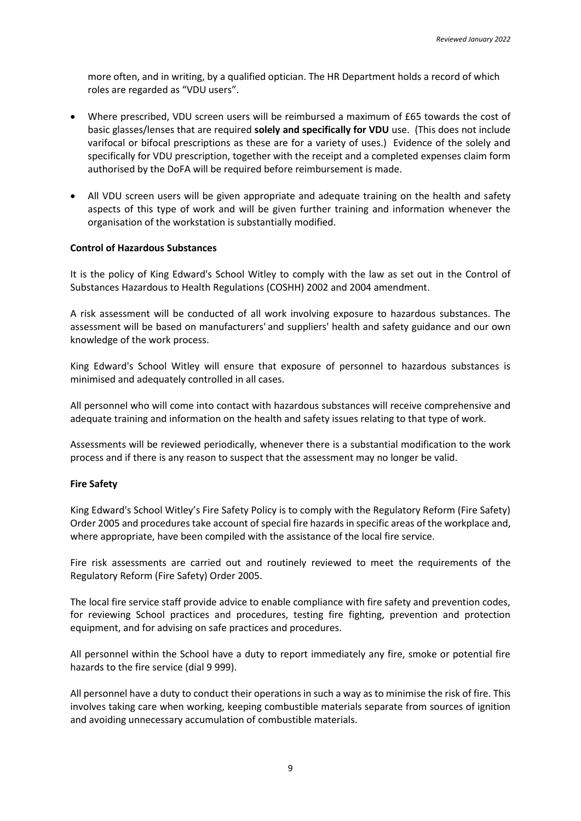more often, and in writing, by a qualified optician. The HR Department holds a record of which roles are regarded as "VDU users".

- Where prescribed, VDU screen users will be reimbursed a maximum of £65 towards the cost of basic glasses/lenses that are required **solely and specifically for VDU** use. (This does not include varifocal or bifocal prescriptions as these are for a variety of uses.) Evidence of the solely and specifically for VDU prescription, together with the receipt and a completed expenses claim form authorised by the DoFA will be required before reimbursement is made.
- All VDU screen users will be given appropriate and adequate training on the health and safety aspects of this type of work and will be given further training and information whenever the organisation of the workstation is substantially modified.

## **Control of Hazardous Substances**

It is the policy of King Edward's School Witley to comply with the law as set out in the Control of Substances Hazardous to Health Regulations (COSHH) 2002 and 2004 amendment.

A risk assessment will be conducted of all work involving exposure to hazardous substances. The assessment will be based on manufacturers' and suppliers' health and safety guidance and our own knowledge of the work process.

King Edward's School Witley will ensure that exposure of personnel to hazardous substances is minimised and adequately controlled in all cases.

All personnel who will come into contact with hazardous substances will receive comprehensive and adequate training and information on the health and safety issues relating to that type of work.

Assessments will be reviewed periodically, whenever there is a substantial modification to the work process and if there is any reason to suspect that the assessment may no longer be valid.

#### **Fire Safety**

King Edward's School Witley's Fire Safety Policy is to comply with the Regulatory Reform (Fire Safety) Order 2005 and procedures take account of special fire hazards in specific areas of the workplace and, where appropriate, have been compiled with the assistance of the local fire service.

Fire risk assessments are carried out and routinely reviewed to meet the requirements of the Regulatory Reform (Fire Safety) Order 2005.

The local fire service staff provide advice to enable compliance with fire safety and prevention codes, for reviewing School practices and procedures, testing fire fighting, prevention and protection equipment, and for advising on safe practices and procedures.

All personnel within the School have a duty to report immediately any fire, smoke or potential fire hazards to the fire service (dial 9 999).

All personnel have a duty to conduct their operations in such a way as to minimise the risk of fire. This involves taking care when working, keeping combustible materials separate from sources of ignition and avoiding unnecessary accumulation of combustible materials.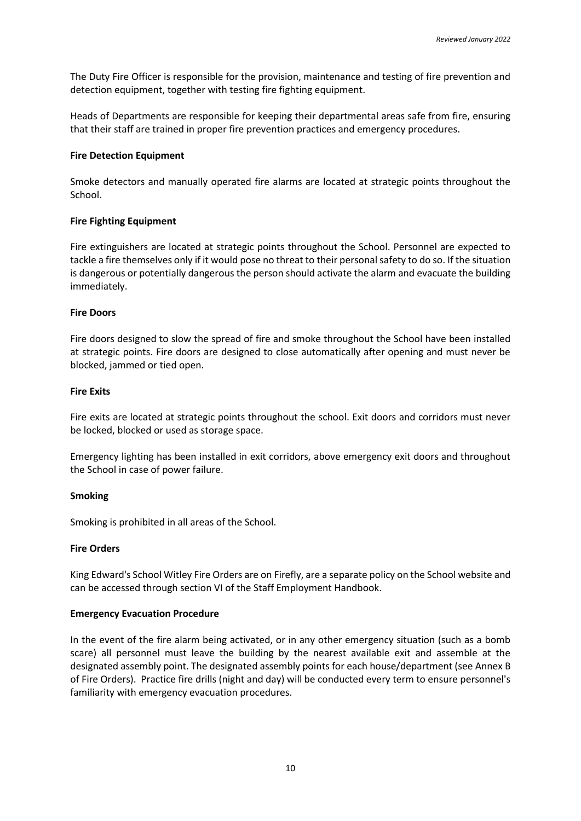The Duty Fire Officer is responsible for the provision, maintenance and testing of fire prevention and detection equipment, together with testing fire fighting equipment.

Heads of Departments are responsible for keeping their departmental areas safe from fire, ensuring that their staff are trained in proper fire prevention practices and emergency procedures.

### **Fire Detection Equipment**

Smoke detectors and manually operated fire alarms are located at strategic points throughout the School.

## **Fire Fighting Equipment**

Fire extinguishers are located at strategic points throughout the School. Personnel are expected to tackle a fire themselves only if it would pose no threat to their personal safety to do so. If the situation is dangerous or potentially dangerous the person should activate the alarm and evacuate the building immediately.

### **Fire Doors**

Fire doors designed to slow the spread of fire and smoke throughout the School have been installed at strategic points. Fire doors are designed to close automatically after opening and must never be blocked, jammed or tied open.

#### **Fire Exits**

Fire exits are located at strategic points throughout the school. Exit doors and corridors must never be locked, blocked or used as storage space.

Emergency lighting has been installed in exit corridors, above emergency exit doors and throughout the School in case of power failure.

## **Smoking**

Smoking is prohibited in all areas of the School.

## **Fire Orders**

King Edward's School Witley Fire Orders are on Firefly, are a separate policy on the School website and can be accessed through section VI of the Staff Employment Handbook.

## **Emergency Evacuation Procedure**

In the event of the fire alarm being activated, or in any other emergency situation (such as a bomb scare) all personnel must leave the building by the nearest available exit and assemble at the designated assembly point. The designated assembly points for each house/department (see Annex B of Fire Orders). Practice fire drills (night and day) will be conducted every term to ensure personnel's familiarity with emergency evacuation procedures.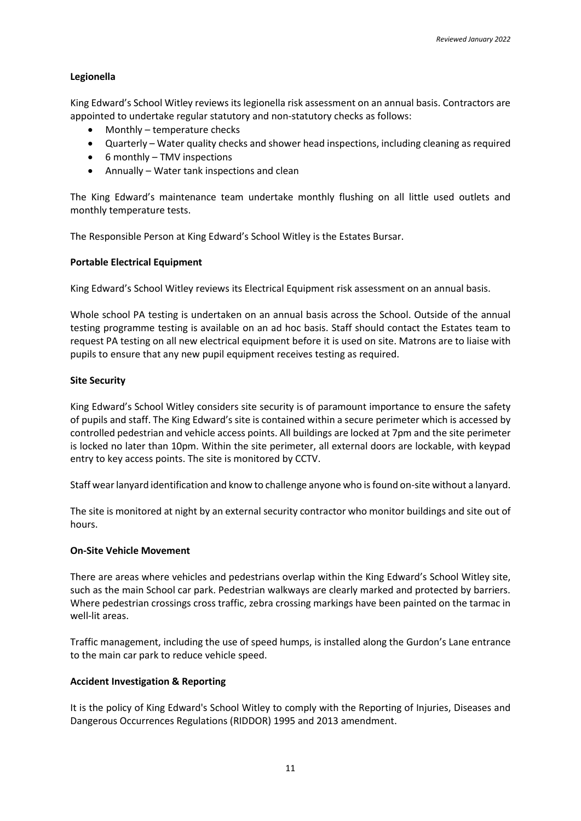## **Legionella**

King Edward's School Witley reviews its legionella risk assessment on an annual basis. Contractors are appointed to undertake regular statutory and non-statutory checks as follows:

- Monthly temperature checks
- Quarterly Water quality checks and shower head inspections, including cleaning as required
- 6 monthly TMV inspections
- Annually Water tank inspections and clean

The King Edward's maintenance team undertake monthly flushing on all little used outlets and monthly temperature tests.

The Responsible Person at King Edward's School Witley is the Estates Bursar.

## **Portable Electrical Equipment**

King Edward's School Witley reviews its Electrical Equipment risk assessment on an annual basis.

Whole school PA testing is undertaken on an annual basis across the School. Outside of the annual testing programme testing is available on an ad hoc basis. Staff should contact the Estates team to request PA testing on all new electrical equipment before it is used on site. Matrons are to liaise with pupils to ensure that any new pupil equipment receives testing as required.

### **Site Security**

King Edward's School Witley considers site security is of paramount importance to ensure the safety of pupils and staff. The King Edward's site is contained within a secure perimeter which is accessed by controlled pedestrian and vehicle access points. All buildings are locked at 7pm and the site perimeter is locked no later than 10pm. Within the site perimeter, all external doors are lockable, with keypad entry to key access points. The site is monitored by CCTV.

Staff wear lanyard identification and know to challenge anyone who is found on-site without a lanyard.

The site is monitored at night by an external security contractor who monitor buildings and site out of hours.

## **On-Site Vehicle Movement**

There are areas where vehicles and pedestrians overlap within the King Edward's School Witley site, such as the main School car park. Pedestrian walkways are clearly marked and protected by barriers. Where pedestrian crossings cross traffic, zebra crossing markings have been painted on the tarmac in well-lit areas.

Traffic management, including the use of speed humps, is installed along the Gurdon's Lane entrance to the main car park to reduce vehicle speed.

## **Accident Investigation & Reporting**

It is the policy of King Edward's School Witley to comply with the Reporting of Injuries, Diseases and Dangerous Occurrences Regulations (RIDDOR) 1995 and 2013 amendment.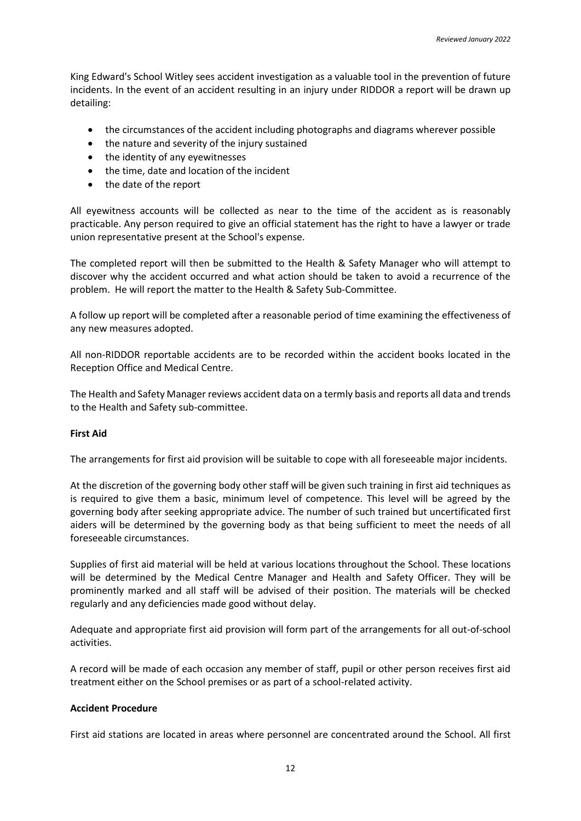King Edward's School Witley sees accident investigation as a valuable tool in the prevention of future incidents. In the event of an accident resulting in an injury under RIDDOR a report will be drawn up detailing:

- the circumstances of the accident including photographs and diagrams wherever possible
- the nature and severity of the injury sustained
- the identity of any eyewitnesses
- the time, date and location of the incident
- the date of the report

All eyewitness accounts will be collected as near to the time of the accident as is reasonably practicable. Any person required to give an official statement has the right to have a lawyer or trade union representative present at the School's expense.

The completed report will then be submitted to the Health & Safety Manager who will attempt to discover why the accident occurred and what action should be taken to avoid a recurrence of the problem. He will report the matter to the Health & Safety Sub-Committee.

A follow up report will be completed after a reasonable period of time examining the effectiveness of any new measures adopted.

All non-RIDDOR reportable accidents are to be recorded within the accident books located in the Reception Office and Medical Centre.

The Health and Safety Manager reviews accident data on a termly basis and reports all data and trends to the Health and Safety sub-committee.

## **First Aid**

The arrangements for first aid provision will be suitable to cope with all foreseeable major incidents.

At the discretion of the governing body other staff will be given such training in first aid techniques as is required to give them a basic, minimum level of competence. This level will be agreed by the governing body after seeking appropriate advice. The number of such trained but uncertificated first aiders will be determined by the governing body as that being sufficient to meet the needs of all foreseeable circumstances.

Supplies of first aid material will be held at various locations throughout the School. These locations will be determined by the Medical Centre Manager and Health and Safety Officer. They will be prominently marked and all staff will be advised of their position. The materials will be checked regularly and any deficiencies made good without delay.

Adequate and appropriate first aid provision will form part of the arrangements for all out-of-school activities.

A record will be made of each occasion any member of staff, pupil or other person receives first aid treatment either on the School premises or as part of a school-related activity.

## **Accident Procedure**

First aid stations are located in areas where personnel are concentrated around the School. All first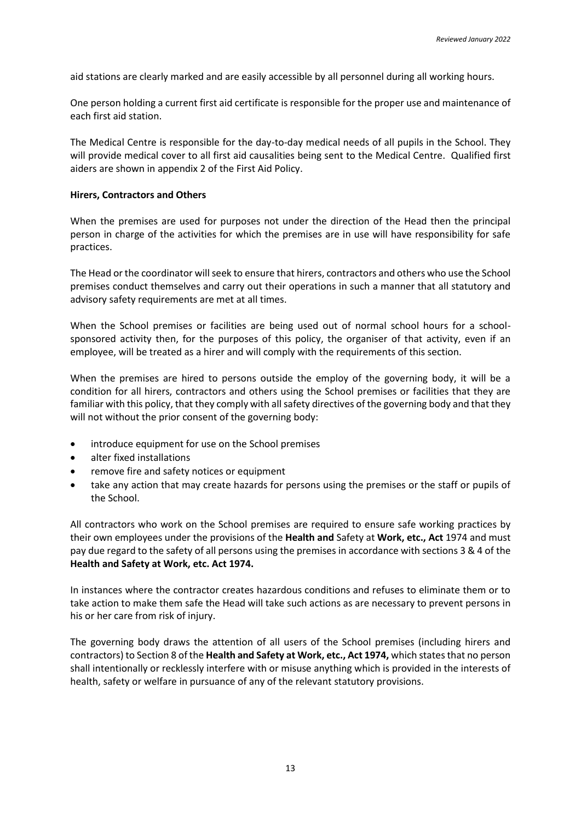aid stations are clearly marked and are easily accessible by all personnel during all working hours.

One person holding a current first aid certificate is responsible for the proper use and maintenance of each first aid station.

The Medical Centre is responsible for the day-to-day medical needs of all pupils in the School. They will provide medical cover to all first aid causalities being sent to the Medical Centre. Qualified first aiders are shown in appendix 2 of the First Aid Policy.

### **Hirers, Contractors and Others**

When the premises are used for purposes not under the direction of the Head then the principal person in charge of the activities for which the premises are in use will have responsibility for safe practices.

The Head or the coordinator will seek to ensure that hirers, contractors and others who use the School premises conduct themselves and carry out their operations in such a manner that all statutory and advisory safety requirements are met at all times.

When the School premises or facilities are being used out of normal school hours for a schoolsponsored activity then, for the purposes of this policy, the organiser of that activity, even if an employee, will be treated as a hirer and will comply with the requirements of this section.

When the premises are hired to persons outside the employ of the governing body, it will be a condition for all hirers, contractors and others using the School premises or facilities that they are familiar with this policy, that they comply with all safety directives of the governing body and that they will not without the prior consent of the governing body:

- introduce equipment for use on the School premises
- alter fixed installations
- remove fire and safety notices or equipment
- take any action that may create hazards for persons using the premises or the staff or pupils of the School.

All contractors who work on the School premises are required to ensure safe working practices by their own employees under the provisions of the **Health and** Safety at **Work, etc., Act** 1974 and must pay due regard to the safety of all persons using the premises in accordance with sections 3 & 4 of the **Health and Safety at Work, etc. Act 1974.**

In instances where the contractor creates hazardous conditions and refuses to eliminate them or to take action to make them safe the Head will take such actions as are necessary to prevent persons in his or her care from risk of injury.

The governing body draws the attention of all users of the School premises (including hirers and contractors) to Section 8 of the **Health and Safety at Work, etc., Act 1974,** which states that no person shall intentionally or recklessly interfere with or misuse anything which is provided in the interests of health, safety or welfare in pursuance of any of the relevant statutory provisions.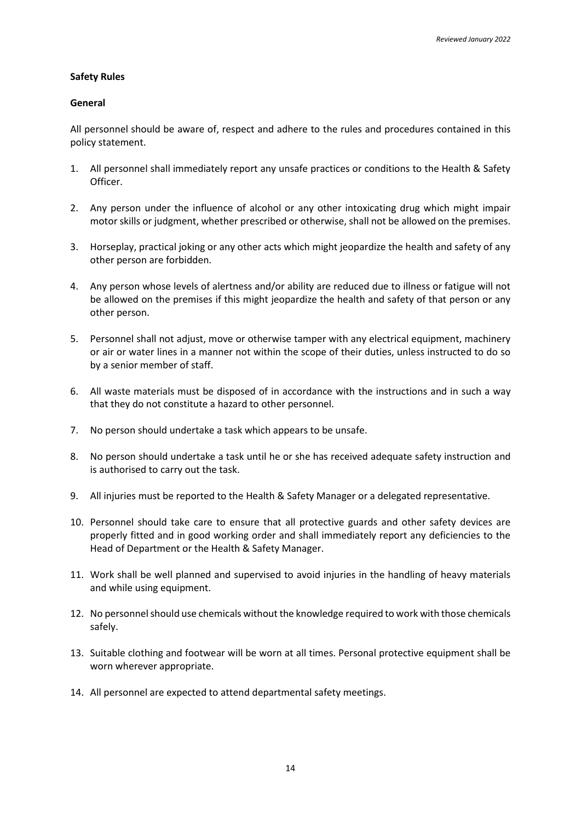## **Safety Rules**

### **General**

All personnel should be aware of, respect and adhere to the rules and procedures contained in this policy statement.

- 1. All personnel shall immediately report any unsafe practices or conditions to the Health & Safety Officer.
- 2. Any person under the influence of alcohol or any other intoxicating drug which might impair motor skills or judgment, whether prescribed or otherwise, shall not be allowed on the premises.
- 3. Horseplay, practical joking or any other acts which might jeopardize the health and safety of any other person are forbidden.
- 4. Any person whose levels of alertness and/or ability are reduced due to illness or fatigue will not be allowed on the premises if this might jeopardize the health and safety of that person or any other person.
- 5. Personnel shall not adjust, move or otherwise tamper with any electrical equipment, machinery or air or water lines in a manner not within the scope of their duties, unless instructed to do so by a senior member of staff.
- 6. All waste materials must be disposed of in accordance with the instructions and in such a way that they do not constitute a hazard to other personnel.
- 7. No person should undertake a task which appears to be unsafe.
- 8. No person should undertake a task until he or she has received adequate safety instruction and is authorised to carry out the task.
- 9. All injuries must be reported to the Health & Safety Manager or a delegated representative.
- 10. Personnel should take care to ensure that all protective guards and other safety devices are properly fitted and in good working order and shall immediately report any deficiencies to the Head of Department or the Health & Safety Manager.
- 11. Work shall be well planned and supervised to avoid injuries in the handling of heavy materials and while using equipment.
- 12. No personnel should use chemicals without the knowledge required to work with those chemicals safely.
- 13. Suitable clothing and footwear will be worn at all times. Personal protective equipment shall be worn wherever appropriate.
- 14. All personnel are expected to attend departmental safety meetings.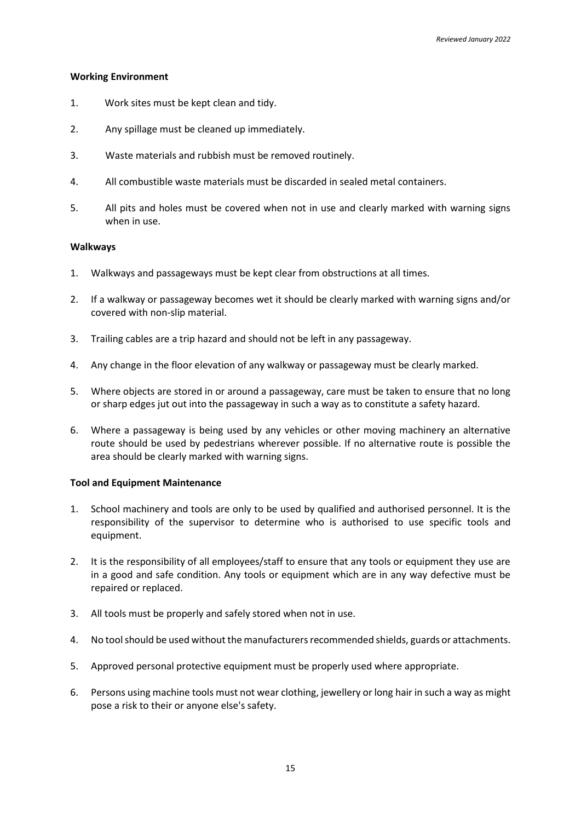### **Working Environment**

- 1. Work sites must be kept clean and tidy.
- 2. Any spillage must be cleaned up immediately.
- 3. Waste materials and rubbish must be removed routinely.
- 4. All combustible waste materials must be discarded in sealed metal containers.
- 5. All pits and holes must be covered when not in use and clearly marked with warning signs when in use.

### **Walkways**

- 1. Walkways and passageways must be kept clear from obstructions at all times.
- 2. If a walkway or passageway becomes wet it should be clearly marked with warning signs and/or covered with non-slip material.
- 3. Trailing cables are a trip hazard and should not be left in any passageway.
- 4. Any change in the floor elevation of any walkway or passageway must be clearly marked.
- 5. Where objects are stored in or around a passageway, care must be taken to ensure that no long or sharp edges jut out into the passageway in such a way as to constitute a safety hazard.
- 6. Where a passageway is being used by any vehicles or other moving machinery an alternative route should be used by pedestrians wherever possible. If no alternative route is possible the area should be clearly marked with warning signs.

## **Tool and Equipment Maintenance**

- 1. School machinery and tools are only to be used by qualified and authorised personnel. It is the responsibility of the supervisor to determine who is authorised to use specific tools and equipment.
- 2. It is the responsibility of all employees/staff to ensure that any tools or equipment they use are in a good and safe condition. Any tools or equipment which are in any way defective must be repaired or replaced.
- 3. All tools must be properly and safely stored when not in use.
- 4. No tool should be used without the manufacturers recommended shields, guards or attachments.
- 5. Approved personal protective equipment must be properly used where appropriate.
- 6. Persons using machine tools must not wear clothing, jewellery or long hair in such a way as might pose a risk to their or anyone else's safety.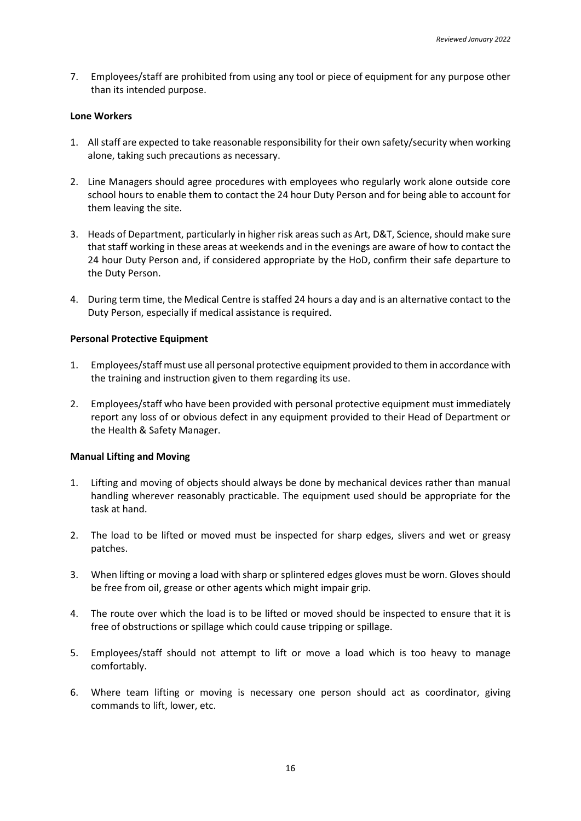7. Employees/staff are prohibited from using any tool or piece of equipment for any purpose other than its intended purpose.

### **Lone Workers**

- 1. All staff are expected to take reasonable responsibility for their own safety/security when working alone, taking such precautions as necessary.
- 2. Line Managers should agree procedures with employees who regularly work alone outside core school hours to enable them to contact the 24 hour Duty Person and for being able to account for them leaving the site.
- 3. Heads of Department, particularly in higher risk areas such as Art, D&T, Science, should make sure that staff working in these areas at weekends and in the evenings are aware of how to contact the 24 hour Duty Person and, if considered appropriate by the HoD, confirm their safe departure to the Duty Person.
- 4. During term time, the Medical Centre is staffed 24 hours a day and is an alternative contact to the Duty Person, especially if medical assistance is required.

## **Personal Protective Equipment**

- 1. Employees/staff must use all personal protective equipment provided to them in accordance with the training and instruction given to them regarding its use.
- 2. Employees/staff who have been provided with personal protective equipment must immediately report any loss of or obvious defect in any equipment provided to their Head of Department or the Health & Safety Manager.

#### **Manual Lifting and Moving**

- 1. Lifting and moving of objects should always be done by mechanical devices rather than manual handling wherever reasonably practicable. The equipment used should be appropriate for the task at hand.
- 2. The load to be lifted or moved must be inspected for sharp edges, slivers and wet or greasy patches.
- 3. When lifting or moving a load with sharp or splintered edges gloves must be worn. Gloves should be free from oil, grease or other agents which might impair grip.
- 4. The route over which the load is to be lifted or moved should be inspected to ensure that it is free of obstructions or spillage which could cause tripping or spillage.
- 5. Employees/staff should not attempt to lift or move a load which is too heavy to manage comfortably.
- 6. Where team lifting or moving is necessary one person should act as coordinator, giving commands to lift, lower, etc.